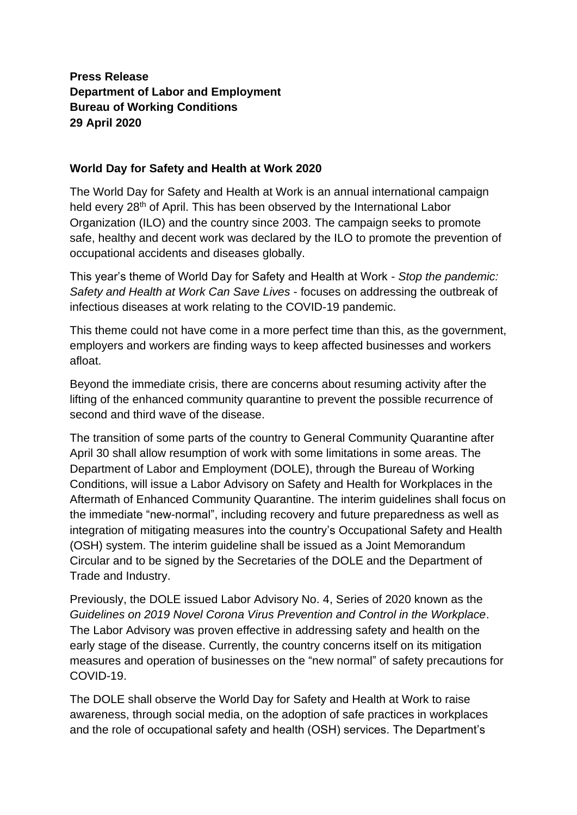## **Press Release Department of Labor and Employment Bureau of Working Conditions 29 April 2020**

## **World Day for Safety and Health at Work 2020**

The World Day for Safety and Health at Work is an annual international campaign held every 28<sup>th</sup> of April. This has been observed by the International Labor Organization (ILO) and the country since 2003. The campaign seeks to promote safe, healthy and decent work was declared by the ILO to promote the prevention of occupational accidents and diseases globally.

This year's theme of World Day for Safety and Health at Work - *Stop the pandemic: Safety and Health at Work Can Save Lives* - focuses on addressing the outbreak of infectious diseases at work relating to the COVID-19 pandemic.

This theme could not have come in a more perfect time than this, as the government, employers and workers are finding ways to keep affected businesses and workers afloat.

Beyond the immediate crisis, there are concerns about resuming activity after the lifting of the enhanced community quarantine to prevent the possible recurrence of second and third wave of the disease.

The transition of some parts of the country to General Community Quarantine after April 30 shall allow resumption of work with some limitations in some areas. The Department of Labor and Employment (DOLE), through the Bureau of Working Conditions, will issue a Labor Advisory on Safety and Health for Workplaces in the Aftermath of Enhanced Community Quarantine. The interim guidelines shall focus on the immediate "new-normal", including recovery and future preparedness as well as integration of mitigating measures into the country's Occupational Safety and Health (OSH) system. The interim guideline shall be issued as a Joint Memorandum Circular and to be signed by the Secretaries of the DOLE and the Department of Trade and Industry.

Previously, the DOLE issued Labor Advisory No. 4, Series of 2020 known as the *Guidelines on 2019 Novel Corona Virus Prevention and Control in the Workplace*. The Labor Advisory was proven effective in addressing safety and health on the early stage of the disease. Currently, the country concerns itself on its mitigation measures and operation of businesses on the "new normal" of safety precautions for COVID-19.

The DOLE shall observe the World Day for Safety and Health at Work to raise awareness, through social media, on the adoption of safe practices in workplaces and the role of occupational safety and health (OSH) services. The Department's